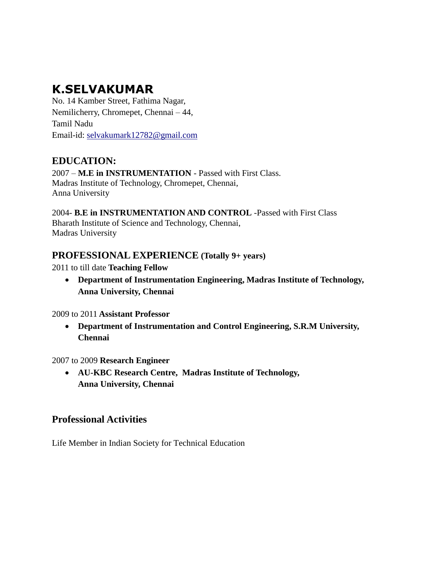# **K.SELVAKUMAR**

No. 14 Kamber Street, Fathima Nagar, Nemilicherry, Chromepet, Chennai – 44, Tamil Nadu Email-id: [selvakumark12782@gmail.com](mailto:selvakumark12782@gmail.com)

## **EDUCATION:**

2007 – **M.E in INSTRUMENTATION** - Passed with First Class. Madras Institute of Technology, Chromepet, Chennai, Anna University

2004- **B.E in INSTRUMENTATION AND CONTROL** -Passed with First Class Bharath Institute of Science and Technology, Chennai, Madras University

## **PROFESSIONAL EXPERIENCE (Totally 9+ years)**

2011 to till date **Teaching Fellow**

 **Department of Instrumentation Engineering, Madras Institute of Technology, Anna University, Chennai**

2009 to 2011 **Assistant Professor**

 **Department of Instrumentation and Control Engineering, S.R.M University, Chennai**

## 2007 to 2009 **Research Engineer**

 **AU-KBC Research Centre, Madras Institute of Technology, Anna University, Chennai**

## **Professional Activities**

Life Member in Indian Society for Technical Education